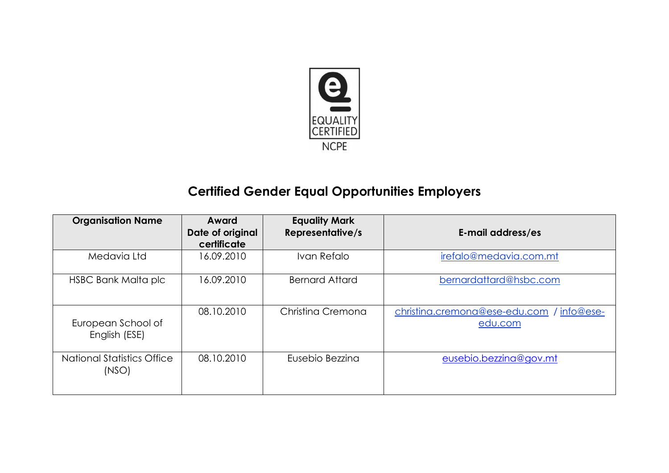

## **Certified Gender Equal Opportunities Employers**

| <b>Organisation Name</b>                   | Award<br>Date of original<br>certificate | <b>Equality Mark</b><br><b>Representative/s</b> | E-mail address/es                                     |
|--------------------------------------------|------------------------------------------|-------------------------------------------------|-------------------------------------------------------|
| Medavia Ltd                                | 16.09.2010                               | Ivan Refalo                                     | irefalo@medavia.com.mt                                |
| HSBC Bank Malta plc                        | 16.09.2010                               | <b>Bernard Attard</b>                           | bernardattard@hsbc.com                                |
| European School of<br>English (ESE)        | 08.10.2010                               | Christing Cremona                               | christina.cremona@ese-edu.com<br>info@ese-<br>edu.com |
| <b>National Statistics Office</b><br>(NSO) | 08.10.2010                               | Eusebio Bezzina                                 | eusebio.bezzina@gov.mt                                |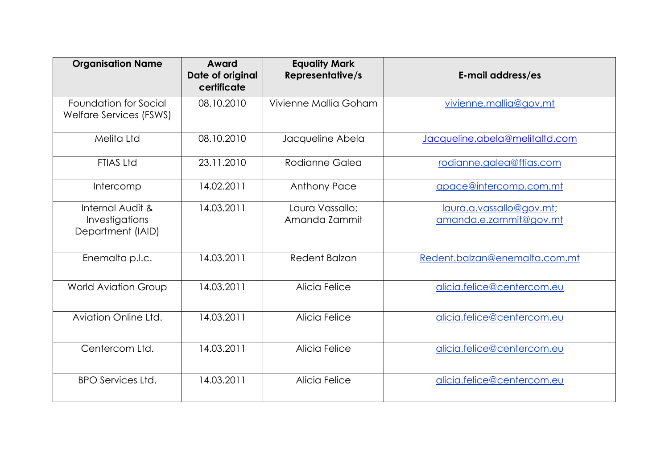| <b>Organisation Name</b>                                | Award<br>Date of original<br>certificate | <b>Equality Mark</b><br><b>Representative/s</b> | E-mail address/es                                  |
|---------------------------------------------------------|------------------------------------------|-------------------------------------------------|----------------------------------------------------|
| Foundation for Social<br>Welfare Services (FSWS)        | 08.10.2010                               | Vivienne Mallia Goham                           | vivienne.mallia@gov.mt                             |
| Melita Ltd                                              | 08.10.2010                               | Jacqueline Abela                                | Jacqueline.abela@melitaltd.com                     |
| <b>FTIAS Ltd</b>                                        | 23.11.2010                               | Rodianne Galea                                  | rodianne.galea@ftias.com                           |
| Intercomp                                               | 14.02.2011                               | <b>Anthony Pace</b>                             | apace@intercomp.com.mt                             |
| Internal Audit &<br>Investigations<br>Department (IAID) | 14.03.2011                               | Laura Vassallo;<br>Amanda Zammit                | laura.a.vassallo@gov.mt;<br>amanda.e.zammit@gov.mt |
| Enemalta p.l.c.                                         | 14.03.2011                               | Redent Balzan                                   | Redent.balzan@enemalta.com.mt                      |
| <b>World Aviation Group</b>                             | 14.03.2011                               | Alicia Felice                                   | alicia.felice@centercom.eu                         |
| Aviation Online Ltd.                                    | 14.03.2011                               | Alicia Felice                                   | alicia.felice@centercom.eu                         |
| Centercom Ltd.                                          | 14.03.2011                               | Alicia Felice                                   | alicia.felice@centercom.eu                         |
| <b>BPO Services Ltd.</b>                                | 14.03.2011                               | Alicia Felice                                   | alicia.felice@centercom.eu                         |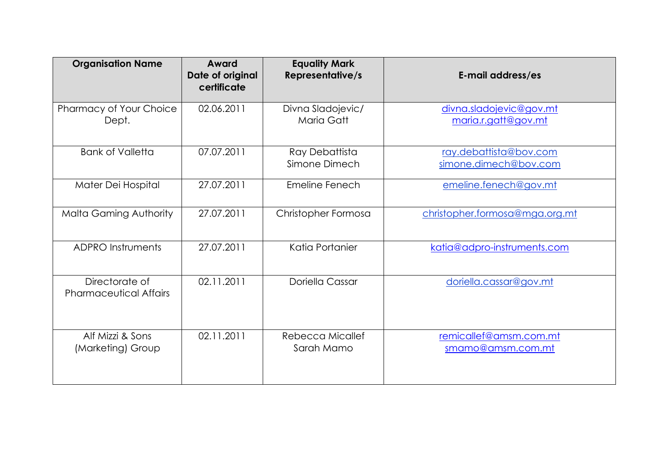| <b>Organisation Name</b>                        | Award<br>Date of original<br>certificate | <b>Equality Mark</b><br><b>Representative/s</b> | E-mail address/es                               |
|-------------------------------------------------|------------------------------------------|-------------------------------------------------|-------------------------------------------------|
| Pharmacy of Your Choice<br>Dept.                | 02.06.2011                               | Divna Sladojevic/<br><b>Maria Gatt</b>          | divna.sladojevic@gov.mt<br>maria.r.gatt@gov.mt  |
| <b>Bank of Valletta</b>                         | 07.07.2011                               | Ray Debattista<br>Simone Dimech                 | ray.debattista@bov.com<br>simone.dimech@bov.com |
| Mater Dei Hospital                              | 27.07.2011                               | Emeline Fenech                                  | emeline.fenech@gov.mt                           |
| <b>Malta Gaming Authority</b>                   | 27.07.2011                               | Christopher Formosa                             | christopher.formosa@mga.org.mt                  |
| <b>ADPRO Instruments</b>                        | 27.07.2011                               | Katia Portanier                                 | katia@adpro-instruments.com                     |
| Directorate of<br><b>Pharmaceutical Affairs</b> | 02.11.2011                               | Doriella Cassar                                 | doriella.cassar@gov.mt                          |
| Alf Mizzi & Sons<br>(Marketing) Group           | 02.11.2011                               | Rebecca Micallef<br>Sarah Mamo                  | remicallef@amsm.com.mt<br>smamo@amsm.com.mt     |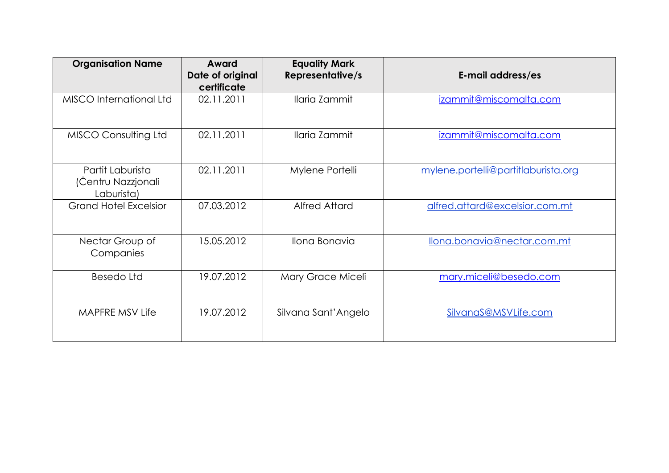| <b>Organisation Name</b>                             | Award<br>Date of original<br>certificate | <b>Equality Mark</b><br><b>Representative/s</b> | E-mail address/es                   |
|------------------------------------------------------|------------------------------------------|-------------------------------------------------|-------------------------------------|
| MISCO International Ltd                              | 02.11.2011                               | Ilaria Zammit                                   | izammit@miscomalta.com              |
| <b>MISCO Consulting Ltd</b>                          | 02.11.2011                               | Ilaria Zammit                                   | izammit@miscomalta.com              |
| Partit Laburista<br>(Čentru Nazzjonali<br>Laburista) | 02.11.2011                               | Mylene Portelli                                 | mylene.portelli@partitlaburista.org |
| <b>Grand Hotel Excelsior</b>                         | 07.03.2012                               | <b>Alfred Attard</b>                            | alfred.attard@excelsior.com.mt      |
| Nectar Group of<br>Companies                         | 15.05.2012                               | Ilona Bonavia                                   | llona.bonavia@nectar.com.mt         |
| <b>Besedo Ltd</b>                                    | 19.07.2012                               | Mary Grace Miceli                               | mary.miceli@besedo.com              |
| MAPFRE MSV Life                                      | 19.07.2012                               | Silvana Sant' Angelo                            | SilvanaS@MSVLife.com                |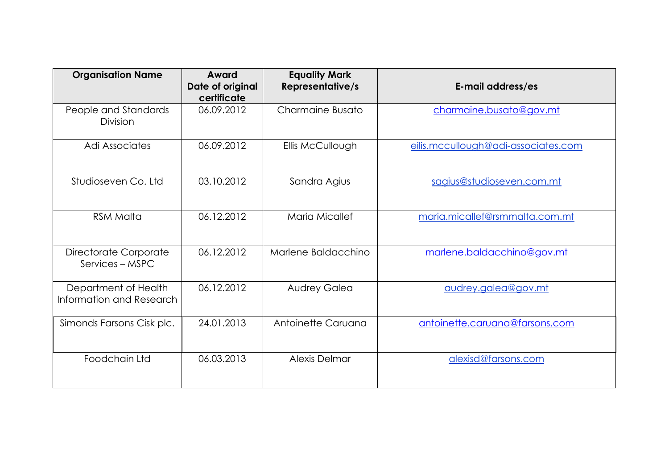| <b>Organisation Name</b>                         | Award<br>Date of original<br>certificate | <b>Equality Mark</b><br><b>Representative/s</b> | E-mail address/es                   |
|--------------------------------------------------|------------------------------------------|-------------------------------------------------|-------------------------------------|
| People and Standards<br><b>Division</b>          | 06.09.2012                               | Charmaine Busato                                | charmaine.busato@gov.mt             |
| Adi Associates                                   | 06.09.2012                               | Ellis McCullough                                | eilis.mccullough@adi-associates.com |
| Studioseven Co. Ltd                              | 03.10.2012                               | Sandra Agius                                    | sagius@studioseven.com.mt           |
| <b>RSM Malta</b>                                 | 06.12.2012                               | Maria Micallef                                  | maria.micallef@rsmmalta.com.mt      |
| Directorate Corporate<br>Services - MSPC         | 06.12.2012                               | Marlene Baldacchino                             | marlene.baldacchino@gov.mt          |
| Department of Health<br>Information and Research | 06.12.2012                               | <b>Audrey Galea</b>                             | audrey.galea@gov.mt                 |
| Simonds Farsons Cisk plc.                        | 24.01.2013                               | Antoinette Caruana                              | antoinette.caruana@farsons.com      |
| Foodchain Ltd                                    | 06.03.2013                               | Alexis Delmar                                   | alexisd@farsons.com                 |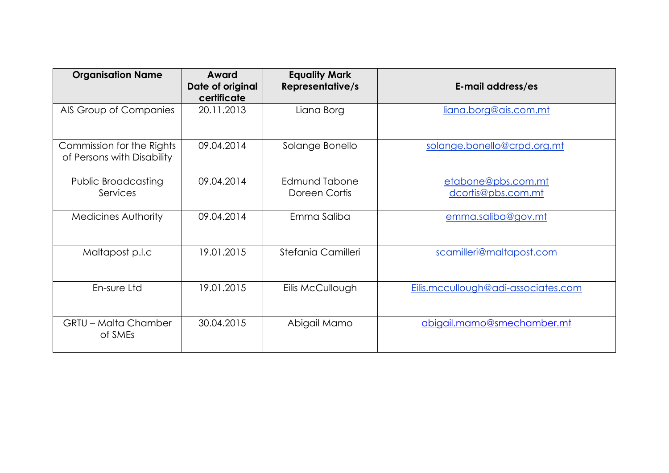| <b>Organisation Name</b>                                | Award<br>Date of original<br>certificate | <b>Equality Mark</b><br>Representative/s | E-mail address/es                        |
|---------------------------------------------------------|------------------------------------------|------------------------------------------|------------------------------------------|
| AIS Group of Companies                                  | 20.11.2013                               | Liana Borg                               | liana.borg@ais.com.mt                    |
| Commission for the Rights<br>of Persons with Disability | 09.04.2014                               | Solange Bonello                          | solange.bonello@crpd.org.mt              |
| <b>Public Broadcasting</b><br>Services                  | 09.04.2014                               | Edmund Tabone<br>Doreen Cortis           | etabone@pbs.com.mt<br>dcortis@pbs.com.mt |
| <b>Medicines Authority</b>                              | 09.04.2014                               | Emma Saliba                              | emma.saliba@gov.mt                       |
| Maltapost p.l.c                                         | 19.01.2015                               | Stefania Camilleri                       | scamilleri@maltapost.com                 |
| En-sure Ltd                                             | 19.01.2015                               | Eilis McCullough                         | Eilis.mccullough@adi-associates.com      |
| <b>GRTU - Malta Chamber</b><br>of SMEs                  | 30.04.2015                               | Abigail Mamo                             | abigail.mamo@smechamber.mt               |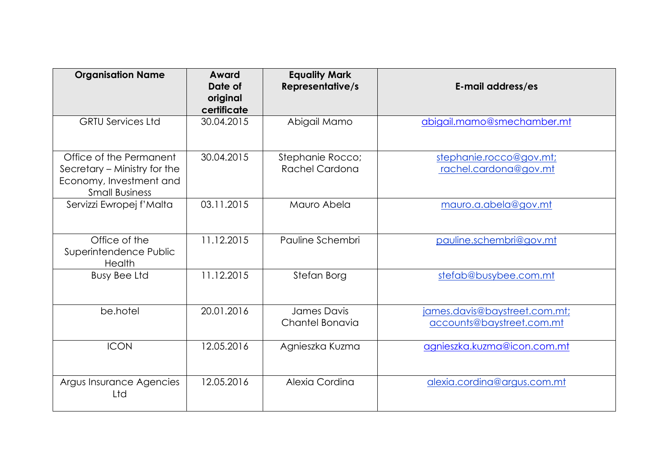| <b>Organisation Name</b>                                                                                    | Award<br>Date of<br>original<br>certificate | <b>Equality Mark</b><br><b>Representative/s</b> | E-mail address/es                                          |
|-------------------------------------------------------------------------------------------------------------|---------------------------------------------|-------------------------------------------------|------------------------------------------------------------|
| <b>GRTU Services Ltd</b>                                                                                    | 30.04.2015                                  | Abigail Mamo                                    | abigail.mamo@smechamber.mt                                 |
| Office of the Permanent<br>Secretary – Ministry for the<br>Economy, Investment and<br><b>Small Business</b> | 30.04.2015                                  | Stephanie Rocco;<br>Rachel Cardona              | stephanie.rocco@gov.mt;<br>rachel.cardona@gov.mt           |
| Servizzi Ewropej f'Malta                                                                                    | 03.11.2015                                  | Mauro Abela                                     | mauro.a.abela@gov.mt                                       |
| Office of the<br>Superintendence Public<br>Health                                                           | 11.12.2015                                  | Pauline Schembri                                | pauline.schembri@gov.mt                                    |
| <b>Busy Bee Ltd</b>                                                                                         | 11.12.2015                                  | Stefan Borg                                     | stefab@busybee.com.mt                                      |
| be.hotel                                                                                                    | 20.01.2016                                  | James Davis<br>Chantel Bonavia                  | james.davis@baystreet.com.mt;<br>accounts@baystreet.com.mt |
| <b>ICON</b>                                                                                                 | 12.05.2016                                  | Agnieszka Kuzma                                 | agnieszka.kuzma@icon.com.mt                                |
| Argus Insurance Agencies<br>Ltd                                                                             | 12.05.2016                                  | Alexia Cordina                                  | alexia.cordina@argus.com.mt                                |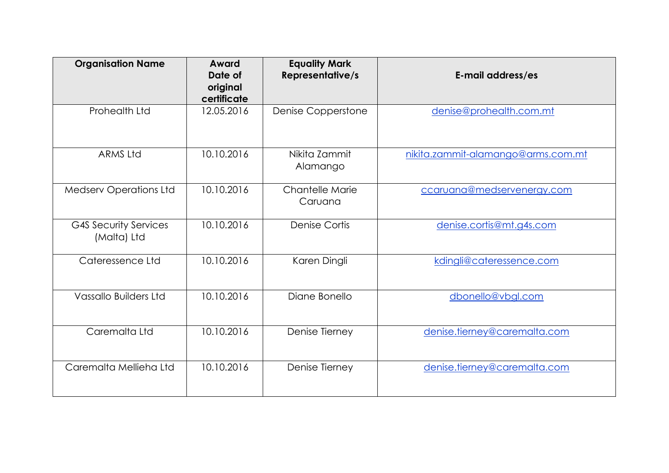| <b>Organisation Name</b>                    | Award<br>Date of<br>original<br>certificate | <b>Equality Mark</b><br><b>Representative/s</b> | E-mail address/es                  |
|---------------------------------------------|---------------------------------------------|-------------------------------------------------|------------------------------------|
| Prohealth Ltd                               | 12.05.2016                                  | Denise Copperstone                              | denise@prohealth.com.mt            |
| <b>ARMS Ltd</b>                             | 10.10.2016                                  | Nikita Zammit<br>Alamango                       | nikita.zammit-alamango@arms.com.mt |
| <b>Medserv Operations Ltd</b>               | 10.10.2016                                  | <b>Chantelle Marie</b><br>Caruana               | ccaruana@medservenergy.com         |
| <b>G4S Security Services</b><br>(Malta) Ltd | 10.10.2016                                  | <b>Denise Cortis</b>                            | denise.cortis@mt.g4s.com           |
| Cateressence Ltd                            | 10.10.2016                                  | Karen Dingli                                    | kdingli@cateressence.com           |
| <b>Vassallo Builders Ltd</b>                | 10.10.2016                                  | Diane Bonello                                   | dbonello@vbgl.com                  |
| Caremalta Ltd                               | 10.10.2016                                  | Denise Tierney                                  | denise.tierney@caremalta.com       |
| Caremalta Mellieha Ltd                      | 10.10.2016                                  | Denise Tierney                                  | denise.tierney@caremalta.com       |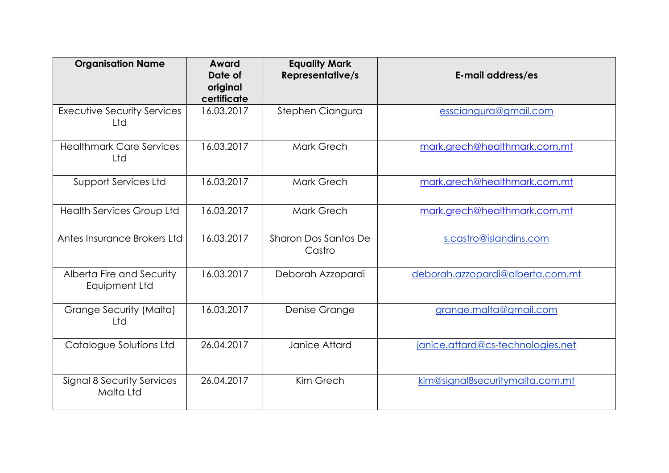| <b>Organisation Name</b>                              | Award<br>Date of<br>original<br>certificate | <b>Equality Mark</b><br><b>Representative/s</b> | E-mail address/es                 |
|-------------------------------------------------------|---------------------------------------------|-------------------------------------------------|-----------------------------------|
| <b>Executive Security Services</b><br>Ltd             | 16.03.2017                                  | Stephen Ciangura                                | essciangura@gmail.com             |
| <b>Healthmark Care Services</b><br>Ltd                | 16.03.2017                                  | Mark Grech                                      | mark.grech@healthmark.com.mt      |
| <b>Support Services Ltd</b>                           | 16.03.2017                                  | Mark Grech                                      | mark.grech@healthmark.com.mt      |
| <b>Health Services Group Ltd</b>                      | 16.03.2017                                  | Mark Grech                                      | mark.grech@healthmark.com.mt      |
| Antes Insurance Brokers Ltd                           | 16.03.2017                                  | <b>Sharon Dos Santos De</b><br>Castro           | s.castro@islandins.com            |
| Alberta Fire and Security<br>Equipment Ltd            | 16.03.2017                                  | Deborah Azzopardi                               | deborah.azzopardi@alberta.com.mt  |
| Grange Security (Malta)<br>Ltd                        | 16.03.2017                                  | Denise Grange                                   | grange.malta@gmail.com            |
| Catalogue Solutions Ltd                               | 26.04.2017                                  | Janice Attard                                   | janice.attard@cs-technologies.net |
| <b>Signal 8 Security Services</b><br><b>Malta Ltd</b> | 26.04.2017                                  | Kim Grech                                       | kim@signal8securitymalta.com.mt   |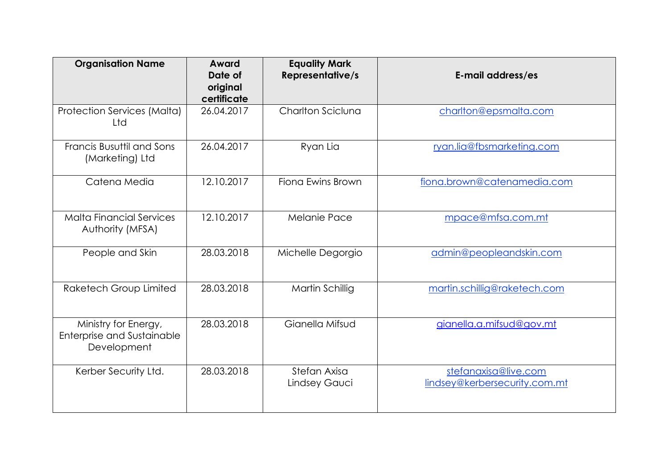| <b>Organisation Name</b>                                                 | Award<br>Date of<br>original<br>certificate | <b>Equality Mark</b><br><b>Representative/s</b> | E-mail address/es                                     |
|--------------------------------------------------------------------------|---------------------------------------------|-------------------------------------------------|-------------------------------------------------------|
| <b>Protection Services (Malta)</b><br>Ltd                                | 26.04.2017                                  | Charlton Sciclung                               | charlton@epsmalta.com                                 |
| Francis Busuttil and Sons<br>(Marketing) Ltd                             | 26.04.2017                                  | Ryan Lia                                        | ryan.lia@fbsmarketing.com                             |
| Catena Media                                                             | 12.10.2017                                  | Fiona Ewins Brown                               | fiona.brown@catenamedia.com                           |
| Malta Financial Services<br>Authority (MFSA)                             | 12.10.2017                                  | Melanie Pace                                    | mpace@mfsa.com.mt                                     |
| People and Skin                                                          | 28.03.2018                                  | Michelle Degorgio                               | admin@peopleandskin.com                               |
| Raketech Group Limited                                                   | 28.03.2018                                  | Martin Schillig                                 | martin.schillig@raketech.com                          |
| Ministry for Energy,<br><b>Enterprise and Sustainable</b><br>Development | 28.03.2018                                  | Gianella Mifsud                                 | gianella.a.mifsud@gov.mt                              |
| Kerber Security Ltd.                                                     | 28.03.2018                                  | Stefan Axisa<br>Lindsey Gauci                   | stefanaxisa@live.com<br>lindsey@kerbersecurity.com.mt |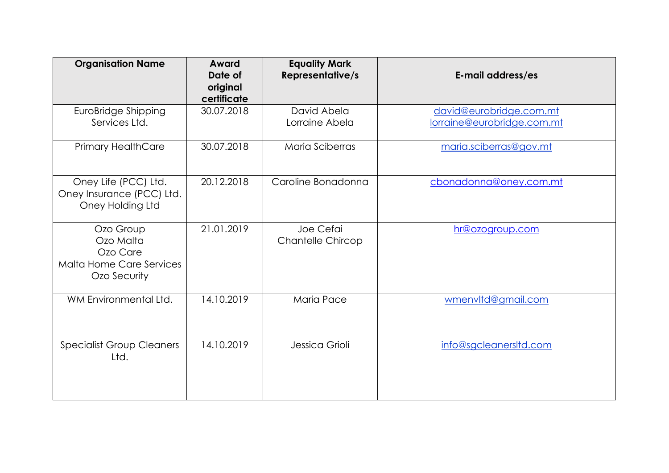| <b>Organisation Name</b>                                                       | Award<br>Date of<br>original<br>certificate | <b>Equality Mark</b><br><b>Representative/s</b> | E-mail address/es                                     |
|--------------------------------------------------------------------------------|---------------------------------------------|-------------------------------------------------|-------------------------------------------------------|
| EuroBridge Shipping<br>Services Ltd.                                           | 30.07.2018                                  | David Abela<br>Lorraine Abela                   | david@eurobridge.com.mt<br>lorraine@eurobridge.com.mt |
| <b>Primary HealthCare</b>                                                      | 30.07.2018                                  | Maria Sciberras                                 | maria.sciberras@gov.mt                                |
| Oney Life (PCC) Ltd.<br>Oney Insurance (PCC) Ltd.<br>Oney Holding Ltd          | 20.12.2018                                  | Caroline Bonadonna                              | cbonadonna@oney.com.mt                                |
| Ozo Group<br>Ozo Malta<br>Ozo Care<br>Malta Home Care Services<br>Ozo Security | 21.01.2019                                  | Joe Cefai<br><b>Chantelle Chircop</b>           | hr@ozogroup.com                                       |
| WM Environmental Ltd.                                                          | 14.10.2019                                  | <b>Maria Pace</b>                               | wmenvltd@gmail.com                                    |
| <b>Specialist Group Cleaners</b><br>Ltd.                                       | 14.10.2019                                  | Jessica Grioli                                  | info@sgcleanersItd.com                                |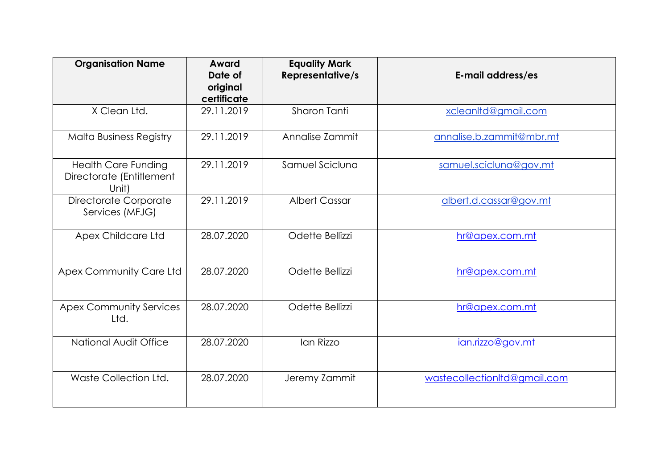| <b>Organisation Name</b>                                        | Award<br>Date of<br>original<br>certificate | <b>Equality Mark</b><br><b>Representative/s</b> | E-mail address/es            |
|-----------------------------------------------------------------|---------------------------------------------|-------------------------------------------------|------------------------------|
| X Clean Ltd.                                                    | 29.11.2019                                  | Sharon Tanti                                    | xcleanltd@gmail.com          |
| <b>Malta Business Registry</b>                                  | 29.11.2019                                  | Annalise Zammit                                 | annalise.b.zammit@mbr.mt     |
| <b>Health Care Funding</b><br>Directorate (Entitlement<br>Unit) | 29.11.2019                                  | Samuel Scicluna                                 | samuel.scicluna@gov.mt       |
| Directorate Corporate<br>Services (MFJG)                        | 29.11.2019                                  | <b>Albert Cassar</b>                            | albert.d.cassar@gov.mt       |
| <b>Apex Childcare Ltd</b>                                       | 28.07.2020                                  | Odette Bellizzi                                 | hr@apex.com.mt               |
| Apex Community Care Ltd                                         | 28.07.2020                                  | Odette Bellizzi                                 | hr@apex.com.mt               |
| <b>Apex Community Services</b><br>Ltd.                          | 28.07.2020                                  | Odette Bellizzi                                 | hr@apex.com.mt               |
| <b>National Audit Office</b>                                    | 28.07.2020                                  | Ian Rizzo                                       | ian.rizzo@gov.mt             |
| Waste Collection Ltd.                                           | 28.07.2020                                  | Jeremy Zammit                                   | wastecollectionItd@gmail.com |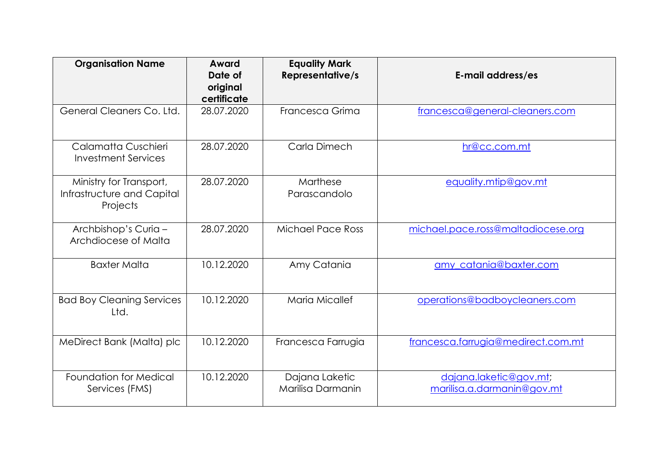| <b>Organisation Name</b>                                          | Award<br>Date of<br>original<br>certificate | <b>Equality Mark</b><br><b>Representative/s</b> | E-mail address/es                                    |
|-------------------------------------------------------------------|---------------------------------------------|-------------------------------------------------|------------------------------------------------------|
| General Cleaners Co. Ltd.                                         | 28.07.2020                                  | Francesca Grima                                 | francesca@general-cleaners.com                       |
| Calamatta Cuschieri<br><b>Investment Services</b>                 | 28.07.2020                                  | Carla Dimech                                    | hr@cc.com.mt                                         |
| Ministry for Transport,<br>Infrastructure and Capital<br>Projects | 28.07.2020                                  | Marthese<br>Parascandolo                        | equality.mtip@gov.mt                                 |
| Archbishop's Curia -<br>Archdiocese of Malta                      | 28.07.2020                                  | <b>Michael Pace Ross</b>                        | michael.pace.ross@maltadiocese.org                   |
| <b>Baxter Malta</b>                                               | 10.12.2020                                  | Amy Catania                                     | amy catania@baxter.com                               |
| <b>Bad Boy Cleaning Services</b><br>Ltd.                          | 10.12.2020                                  | <b>Maria Micallef</b>                           | operations@badboycleaners.com                        |
| MeDirect Bank (Malta) plc                                         | 10.12.2020                                  | Francesca Farrugia                              | francesca.farrugia@medirect.com.mt                   |
| Foundation for Medical<br>Services (FMS)                          | 10.12.2020                                  | Dajana Laketic<br>Marilisa Darmanin             | dajana.laketic@gov.mt;<br>marilisa.a.darmanin@gov.mt |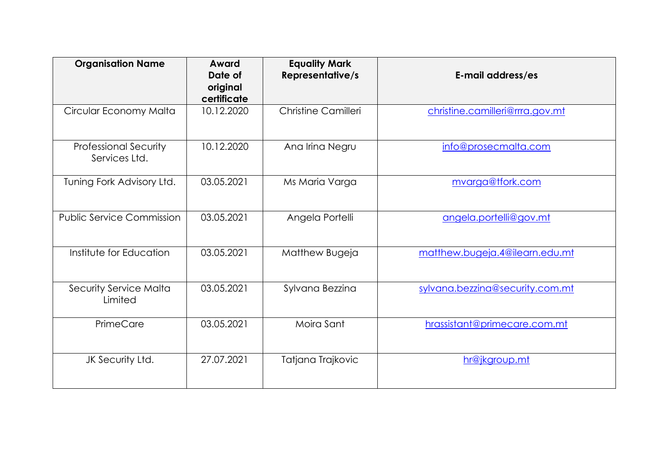| <b>Organisation Name</b>                      | Award<br>Date of<br>original<br>certificate | <b>Equality Mark</b><br><b>Representative/s</b> | E-mail address/es               |
|-----------------------------------------------|---------------------------------------------|-------------------------------------------------|---------------------------------|
| Circular Economy Malta                        | 10.12.2020                                  | Christine Camilleri                             | christine.camilleri@rrra.gov.mt |
| <b>Professional Security</b><br>Services Ltd. | 10.12.2020                                  | Ana Irina Negru                                 | info@prosecmalta.com            |
| Tuning Fork Advisory Ltd.                     | 03.05.2021                                  | Ms Maria Varga                                  | mvarga@tfork.com                |
| <b>Public Service Commission</b>              | 03.05.2021                                  | Angela Portelli                                 | angela.portelli@gov.mt          |
| Institute for Education                       | 03.05.2021                                  | Matthew Bugeja                                  | matthew.bugeja.4@ilearn.edu.mt  |
| <b>Security Service Malta</b><br>Limited      | 03.05.2021                                  | Sylvana Bezzina                                 | sylvana.bezzina@security.com.mt |
| PrimeCare                                     | 03.05.2021                                  | Moira Sant                                      | hrassistant@primecare.com.mt    |
| JK Security Ltd.                              | 27.07.2021                                  | Tatjana Trajkovic                               | hr@jkgroup.mt                   |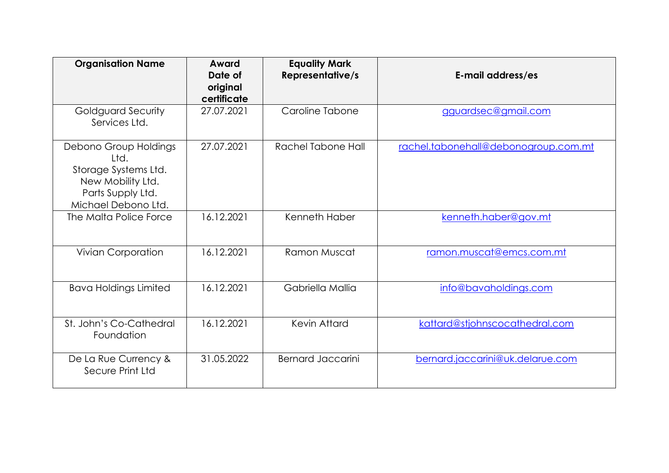| <b>Organisation Name</b>                                                                                               | Award<br>Date of<br>original<br>certificate | <b>Equality Mark</b><br><b>Representative/s</b> | E-mail address/es                    |
|------------------------------------------------------------------------------------------------------------------------|---------------------------------------------|-------------------------------------------------|--------------------------------------|
| Goldguard Security<br>Services Ltd.                                                                                    | 27.07.2021                                  | Caroline Tabone                                 | gguardsec@gmail.com                  |
| Debono Group Holdings<br>Itd.<br>Storage Systems Ltd.<br>New Mobility Ltd.<br>Parts Supply Ltd.<br>Michael Debono Ltd. | 27.07.2021                                  | Rachel Tabone Hall                              | rachel.tabonehall@debonogroup.com.mt |
| The Malta Police Force                                                                                                 | 16.12.2021                                  | Kenneth Haber                                   | kenneth.haber@gov.mt                 |
| <b>Vivian Corporation</b>                                                                                              | 16.12.2021                                  | Ramon Muscat                                    | ramon.muscat@emcs.com.mt             |
| <b>Bava Holdings Limited</b>                                                                                           | 16.12.2021                                  | Gabriella Mallia                                | info@bavaholdings.com                |
| St. John's Co-Cathedral<br>Foundation                                                                                  | 16.12.2021                                  | Kevin Attard                                    | kattard@stjohnscocathedral.com       |
| De La Rue Currency &<br>Secure Print Ltd                                                                               | 31.05.2022                                  | <b>Bernard Jaccarini</b>                        | bernard.jaccarini@uk.delarue.com     |